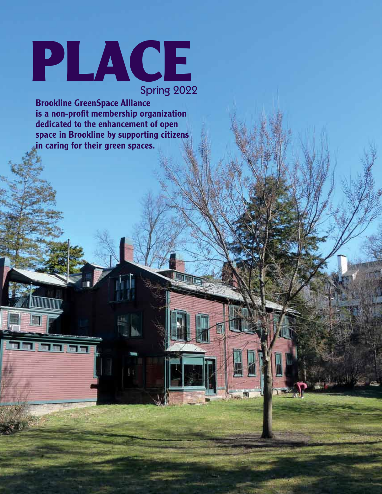# PLACE Spring 2022

Brookline GreenSpace Alliance is a non-profit membership organization dedicated to the enhancement of open space in Brookline by supporting citizens in caring for their green spaces.

<u> Hillillilli</u>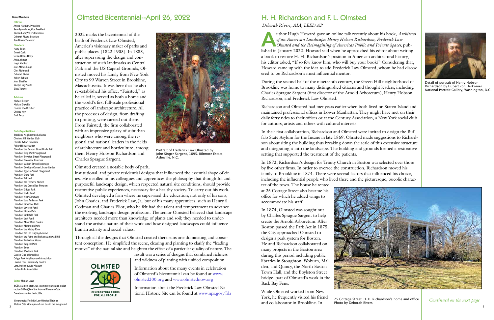#### Board Members

### **Officers**

Arlene Mattison, President Sean Lynn-Jones, Vice President Marian Lazar, V.P.-Publications Deborah Rivers, Secretary Ron Brown, Treasurer

#### **Directors**

Harry Bohrs Ernest Cook Susan Helms Daley Anita Johnson Hugh Mattison Jules Milner-Brage Clint Richmond Deborah Rivers Robert Schram John Shreffler Marilyn Ray Smith Elissa Yanover

## Advisors

Michael Berger Michael Dukakis Frances Shedd Fisher Chobee Hoy Fred Perry

#### Park Organizations

Cover photo: Fred rick Law Olmsted National Historic Site with replaced elm tree in the foreground **and the foreground** and the foreground and the foreground and the foreground and the foreground and the foreground and the foreground and the foreground and the foreg

Brookline Neighborhood Alliance Chestnut Hill Garden Club Climate Action Brookline Fisher Hill Association Friends of the Beacon Street Bridle Path Friends of Billy Ward Playground Friends of Boylston Street Playground Friends of Brookline Reservoir Friends of Carlton Street Footbridge Friends of Coolidge Corner Library Garden Friends of Cypress Street Playground Friends of Dane Park Friends of Fairsted Friends of the Farmers' Market Friends of the Green Dog Program Friends of Griggs Park Friends of Hall's Pond Friends of Hoar Sanctuary Friends of Larz Anderson Park Friends of Lawrence Park Friends of Leverett Pond Friends of Linden Park Friends of Littlefield Park Friends of Lost Pond Friends of Minot Rose Garden Friends of Monmouth Park Friends of the Muddy River Friends of the Old Burying Ground Friends of the Paths and Park on Aspinwall Hill Friends of Putterham Woods Friends of Sargent Pond Friends of Soule Friends of Waldstein Park Garden Club of Brookline Griggs Park Neighborhood Association Lawton Park Community Garden Larz Anderson Auto Museum Linden Parks Association

### Editor Marian Lazar

BGSA is a non-profit, tax-exempt organization under section 501(c)(3) of the Internal Revenue Code. Donations are tax deductible.

2022 marks the bicentennial of the birth of Frederick Law Olmsted, America's visionary maker of parks and public places. (1822-1903). In 1883, after supervising the design and construction of such landmarks as Central Park and the US Capitol Grounds, Olmsted moved his family from New York City to 99 Warren Street in Brookline, Massachusetts. It was here that he also re-established his office. "Fairsted," as he called it, served as both a home and the world's first full-scale professional practice of landscape architecture. All the processes of design, from drafting to printing, were carried out there. From Fairsted, the firm collaborated with an impressive galaxy of suburban neighbors who were among the regional and national leaders in the fields of architecture and horticulture, among them Henry Hobson Richardson and Charles Sprague Sargent.

Olmsted created a notable body of park,

institutional, and private residential designs that influenced the essential shape of cities. He instilled in his colleagues and apprentices the philosophy that thoughtful and purposeful landscape design, which respected natural site conditions, should provide restorative public experiences, necessary for a healthy society. To carry out his work, Olmsted developed a firm where he supervised the education, not only of his sons, John Charles, and Frederick Law, Jr., but of his many apprentices, such as Henry S. Codman and Charles Eliot, who he felt had the talent and temperament to advance the evolving landscape design profession. The senior Olmsted believed that landscape architects needed more than knowledge of plants and soil; they needed to understand the artistic nature of their work and how designed landscapes could influence human activity and social values.

Through all the designs that Olmsted created there runs one dominating and consistent conception. He simplified the scene, clearing and planting to clarify the "leading motive" of the natural site and heighten the effect of a particular quality of nature. The

> result was a series of designs that combined richness and wildness of planting with unified composition Information about the many events in celebration of Olmsted's bicentennial can be found at www. olmsted200.org and www.olmstednow.org

Information about the Frederick Law Olmsted National Historic Site can be found at www.nps.gov/frla



**FOR ALL PEOPLE** 

# Olmsted Bicentennial--April 26, 2022

Portrait of Frederick Law Olmsted by John Singer Sargent, 1895. Biltmore Estate, Asheville, N.C.

**A**uthor Hugh Howard gave an online talk recently about his book, *Architects of an American Landscape: Henry Hobson Richardson, Frederick Law Olmsted and the Reimagining of Americas Public and Private Spaces,* published in January 2022. Howard said when he approached his editor about writing a book to restore H. H. Richardson's position in American architectural history, his editor asked, "If so few know him, who will buy your book?" Considering that, Howard came up with the idea to add Frederick Law Olmsted, whom he had discovered to be Richardson's most influential mentor.

During the second half of the nineteenth century, the Green Hill neighborhood of Brookline was home to many distinguished citizens and thought leaders, including Charles Sprague Sargent (first director of the Arnold Arboretum), Henry Hobson Richardson, and Frederick Law Olmsted.

Richardson and Olmsted had met years earlier when both lived on Staten Island and maintained professional offices in Lower Manhattan. They might have met on their daily ferry rides to their offices or at the Century Association, a New York social club for authors, artists and others with cultural interests.

In their first collaboration, Richardson and Olmsted were invited to design the Buffalo State Asylum for the Insane in late 1869. Olmsted made suggestions to Richardson about siting the building thus breaking down the scale of this extensive structure and integrating it into the landscape. The building and grounds formed a restorative setting that supported the treatment of the patients.

In 1872, Richardson's design for Trinity Church in Boston was selected over those by five other firms. In order to oversee the construction, Richardson moved his family to Brookline in 1874. There were several factors that influenced his choice, including the influential people who lived there and the picturesque, bucolic character of the town. The house he rented

at 25 Cottage Street also became his office for which he added wings to accommodate his staff.

In 1874, Olmsted was sought out by Charles Sprague Sargent to help create the Arnold Arboretum. After Boston passed the Park Act in 1875, the City approached Olmsted to design a park system for Boston. He and Richardson collaborated on many projects in the Boston area during this period including public libraries in Stoughton, Woburn, Malden, and Quincy, the North Easton Town Hall, and the Boylston Street bridge, part of Olmsted's work in the Back Bay Fens.

While Olmsted worked from New York, he frequently visited his friend and collaborator in Brookline. In



# H. H. Richardson and F. L. Olmsted

*Deborah Rivers, AIA, LEED AP*



25 Cottage Street, H. H. Richardson's home and office Photo by Deborah Rivers *Continued on the next page*



Detail of portrait of Henry Hobson Richardson by Hubert von Herkomer. National Portrait Gallery, Washington, D.C.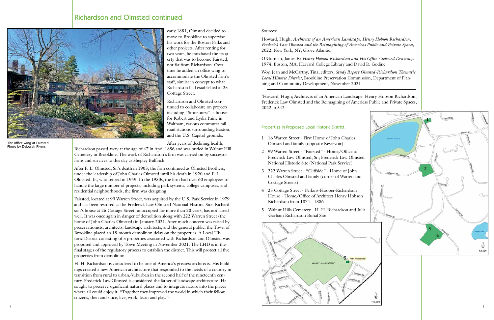4

early 1881, Olmsted decided to move to Brookline to supervise his work for the Boston Parks and other projects. After renting for two years, he purchased the prop erty that was to become Fairsted, not far from Richardson. Over time he added an office wing to accommodate the Olmsted firm's staff, similar in concept to what Richardson had established at 25 Cottage Street.

Richardson and Olmsted con tinued to collaborate on projects including "Stonehurst", a house for Robert and Lydia Paine in Waltham, various commuter rail road stations surrounding Boston, and the U.S. Capitol grounds.

After years of declining health,

Richardson passed away at the age of 47 in April 1886 and was buried in Walnut Hill Cemetery in Brookline. The work of Richardson's firm was carried on by successor firms and survives to this day as Shepley Bulfinch.

After F. L. Olmsted, Sr.'s death in 1903, the firm continued as Olmsted Brothers, under the leadership of John Charles Olmsted until his death in 1920 and F. L. Olmsted, Jr., who retired in 1949. In the 1930s, the firm had over 60 employees to handle the large number of projects, including park systems, college campuses, and residential neighborhoods, the firm was designing.

Fairsted, located at 99 Warren Street, was acquired by the U.S. Park Service in 1979 and has been restored as the Frederick Law Olmsted National Historic Site. Richard son's house at 25 Cottage Street, unoccupied for more than 20 years, has not faired well. It was once again in danger of demolition along with 222 Warren Street (the home of John Charles Olmsted) in January 2021. After much concern was raised by preservationists, architects, landscape architects, and the general public, the Town of Brookline placed an 18-month demolition delay on the properties. A Local His toric District consisting of 5 properties associated with Richardson and Olmsted was proposed and approved by Town Meeting in November 2021. The LHD is in the final stages of the regulatory process to establish the district. This will protect all five properties from demolition.



Sources:

Howard, Hugh; *Architects of an American Landscape: Henry Hobson Richardson, Frederick Law Olmsted and the Reimagining of Americas Public and Private Spaces,*  2022, New York, NY, Grove Atlantic.

O'Gorman, James F.; *Henry Hobson Richardson and His Office - Selected Drawings,* 1974, Boston, MA, Harvard College Library and David R. Godine.

H. H. Richardson is considered to be one of America's greatest architects. His build ings created a new American architecture that responded to the needs of a country in transition from rural to urban/suburban in the second half of the nineteenth cen tury. Frederick Law Olmsted is considered the father of landscape architecture. He sought to preserve significant natural places and to integrate nature into the places where all could enjoy it. "Together they improved the world in which their fellow citizens, then and since, live, work, learn and play." 1 ,

Woy, Jean and McCarthy, Tina, editors, *Study Report Olmsted-Richardson Thematic Local Historic District,* Brookline Preservation Commission, Department of Plan ning and Community Development, November 2021

1 Howard, Hugh; Architects of an American Landscape: Henry Hobson Richardson, Frederick Law Olmsted and the Reimagining of Americas Public and Private Spaces, 2022, p.342

- Olmsted and family (opposite Reservoir)
- National Historic Site (National Park Service)
- Cottage Streets)
- Richardson from 1874 1886
- Gorham Richardson Burial Site

# Richardson and Olmsted continued



The office wing at Fairsted Photo by Deborah Rivers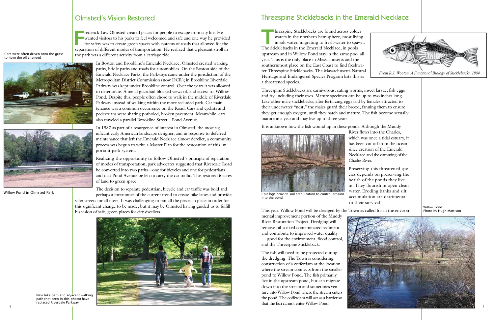

# Threespine Sticklebacks in the Emerald Necklace

**THEOREM INTERNATIONAL EXECUTE:** The Sticklebacks are found across colder waters in the northern hemisphere, most living<br>The Sticklebacks in the Emerald Necklace in pools waters in the northern hemisphere, most living in salt water, migrating to fresh-water to spawn. The Sticklebacks in the Emerald Necklace, in pools upstream and in Willow Pond stay in the same pool all year. This is the only place in Massachusetts and the southernmost place on the East Coast to find freshwater Threespine Sticklebacks. The Massachusetts Natural Heritage and Endangered Species Program lists this as a threatened species.

Threespine Sticklebacks are carnivorous, eating worms, insect larvae, fish eggs and fry, including their own. Mature specimen can be up to two inches long. Like other male sticklebacks, after fertilizing eggs laid by females attracted to their underwater "nest," the males guard their brood, fanning them to ensure they get enough oxygen, until they hatch and mature. The fish become sexually mature in a year and may live up to three years.

It is unknown how the fish wound up in these ponds. Although the Muddy



River flows into the Charles, which was once a tidal estuary, it has been cut off from the ocean since creation of the Emerald Necklace and the damming of the Charles River.

**FREE FERNATION CONSTRESS TO HAMALY CONSTRESS OF THE WANTED WARE SERVING STATE OF SAFETY WAS to create green spaces with systems of roads that allowed for the separation of different modes of transportation. He realized th** rederick Law Olmsted created places for people to escape from city life. He wanted visitors to his parks to feel welcomed and safe and one way he provided for safety was to create green spaces with systems of roads that allowed for the the park was a different activity from a carriage ride.

> Preserving this threatened species depends on preserving the health of the ponds they live in. They flourish in open clean water. Eroding banks and silt accumulation are detrimental to their survival.

This year, Willow Pond will be dredged by the Town as called for in the environ-

mental improvement portion of the Muddy River Restoration Project. Dredging will remove oil-soaked contaminated sediment and contribute to improved water quality — good for the environment, flood control, and the Threespine Stickleback.

The fish will need to be protected during the dredging. The Town is considering construction of a cofferdam at the location where the stream connects from the smaller pond to Willow Pond. The fish primarily live in the upstream pond, but can migrate down into the stream and sometimes venture into Willow Pond where the stream enters the pond. The cofferdam will act as a barrier so that the fish cannot enter Willow Pond.



Coir logs provide soil stabilization to control erosion

into the pond

In Boston and Brookline's Emerald Necklace, Olmsted created walking paths, bridle paths and roads for automobiles. On the Boston side of the Emerald Necklace Parks, the Parkways came under the jurisdiction of the Metropolitan District Commission (now DCR); in Brookline Riverdale Parkway was kept under Brookline control. Over the years it was allowed to deteriorate. A metal guardrail blocked views of, and access to, Willow Pond. Despite this, people often chose to walk in the middle of Riverdale Parkway instead of walking within the more secluded park. Car maintenance was a common occurrence on the Road. Cars and cyclists and pedestrians were sharing potholed, broken pavement. Meanwhile, cars also traveled a parallel Brookline Street—Pond Avenue.

In 1987 as part of a resurgence of interest in Olmsted, the most significant early American landscape designer, and in response to deferred maintenance that left the Emerald Necklace almost derelict, a community process was begun to write a Master Plan for the restoration of this important park system.

Realizing the opportunity to follow Olmsted's principle of separation of modes of transportation, park advocates suggested that Riverdale Road be converted into two paths—one for bicycles and one for pedestrians and that Pond Avenue be left to carry the car traffic. This restored 5 acres of land to green space.

The decision to separate pedestrian, bicycle and car traffic was bold and perhaps a forerunner of the current trend to create bike lanes and provide safer streets for all users. It was challenging to put all the pieces in place in order for this significant change to be made, but it may be Olmsted having guided us to fulfill his vision of safe, green places for city dwellers.

# Olmsted's Vision Restored

Cars were often driven onto the grass to have the oil changed





Willow Pond in Olmsted Park

New bike path and adjacent walking path (not seen in this photo) have replaced Riverdale Parkway



From R.J. Wooton, A Functional Biology of Sticklebacks, 1984

Willow Pond Photo by Hugh Mattison